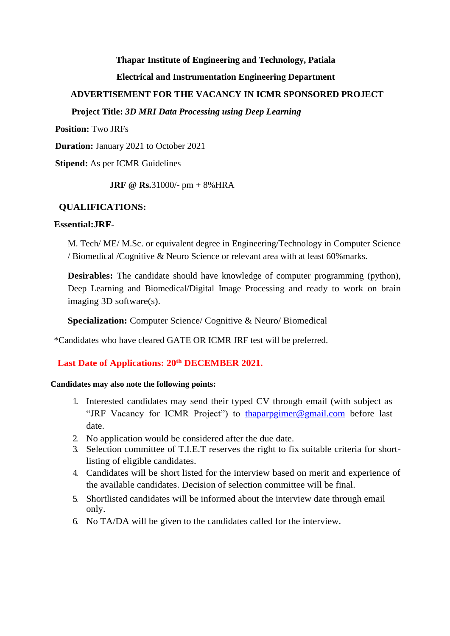### **Thapar Institute of Engineering and Technology, Patiala**

# **Electrical and Instrumentation Engineering Department**

# **ADVERTISEMENT FOR THE VACANCY IN ICMR SPONSORED PROJECT**

### **Project Title:** *3D MRI Data Processing using Deep Learning*

**Position:** Two JRFs

**Duration:** January 2021 to October 2021

**Stipend:** As per ICMR Guidelines

**JRF @ Rs.**31000/- pm + 8%HRA

### **QUALIFICATIONS:**

#### **Essential:JRF-**

M. Tech/ ME/ M.Sc. or equivalent degree in Engineering/Technology in Computer Science / Biomedical /Cognitive & Neuro Science or relevant area with at least 60%marks.

**Desirables:** The candidate should have knowledge of computer programming (python), Deep Learning and Biomedical/Digital Image Processing and ready to work on brain imaging 3D software(s).

**Specialization:** Computer Science/ Cognitive & Neuro/ Biomedical

\*Candidates who have cleared GATE OR ICMR JRF test will be preferred.

# **Last Date of Applications: 20th DECEMBER 2021.**

### **Candidates may also note the following points:**

- 1. Interested candidates may send their typed CV through email (with subject as "JRF Vacancy for ICMR Project") to thaparpgimer@gmail.com before last date.
- 2. No application would be considered after the due date.
- 3. Selection committee of T.I.E.T reserves the right to fix suitable criteria for shortlisting of eligible candidates.
- 4. Candidates will be short listed for the interview based on merit and experience of the available candidates. Decision of selection committee will be final.
- 5. Shortlisted candidates will be informed about the interview date through email only.
- 6. No TA/DA will be given to the candidates called for the interview.